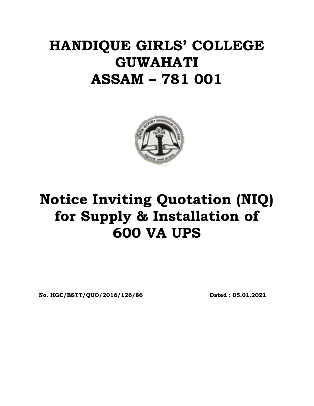## **HANDIQUE GIRLS' COLLEGE GUWAHATI ASSAM – 781 001**



# **Notice Inviting Quotation (NIQ) for Supply & Installation of 600 VA UPS**

**No. HGC/ESTT/QUO/2016/126/86 Dated : 05.01.2021**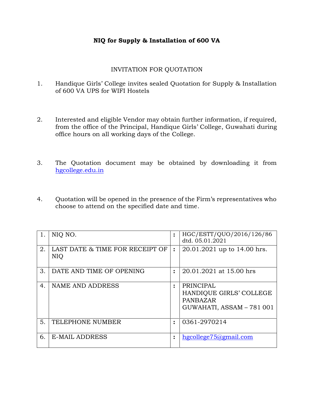#### **NIQ for Supply & Installation of 600 VA**

#### INVITATION FOR QUOTATION

- 1. Handique Girls' College invites sealed Quotation for Supply & Installation of 600 VA UPS for WIFI Hostels
- 2. Interested and eligible Vendor may obtain further information, if required, from the office of the Principal, Handique Girls' College, Guwahati during office hours on all working days of the College.
- 3. The Quotation document may be obtained by downloading it from hgcollege.edu.in
- 4. Quotation will be opened in the presence of the Firm's representatives who choose to attend on the specified date and time.

| 1. | NIO NO.                                       | $\ddot{\cdot}$ | HGC/ESTT/QUO/2016/126/86<br>dtd. 05.01.2021                                                 |
|----|-----------------------------------------------|----------------|---------------------------------------------------------------------------------------------|
| 2. | LAST DATE & TIME FOR RECEIPT OF<br><b>NIQ</b> | $\ddot{\cdot}$ | 20.01.2021 up to 14.00 hrs.                                                                 |
| 3. | DATE AND TIME OF OPENING                      | $\ddot{\cdot}$ | 20.01.2021 at 15.00 hrs                                                                     |
| 4. | NAME AND ADDRESS                              | $\ddot{\cdot}$ | <b>PRINCIPAL</b><br>HANDIQUE GIRLS' COLLEGE<br><b>PANBAZAR</b><br>GUWAHATI, ASSAM - 781 001 |
| 5. | TELEPHONE NUMBER                              | $\ddot{\cdot}$ | 0361-2970214                                                                                |
| 6. | <b>E-MAIL ADDRESS</b>                         | $\ddot{\cdot}$ | $h$ gcollege $75$ @gmail.com                                                                |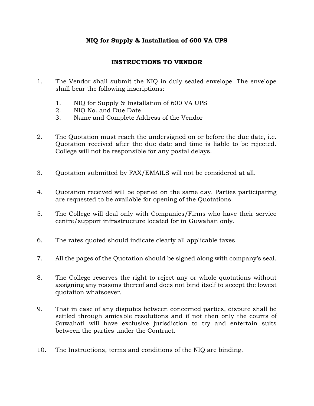#### **NIQ for Supply & Installation of 600 VA UPS**

#### **INSTRUCTIONS TO VENDOR**

- 1. The Vendor shall submit the NIQ in duly sealed envelope. The envelope shall bear the following inscriptions:
	- 1. NIQ for Supply & Installation of 600 VA UPS
	- 2. NIQ No. and Due Date
	- 3. Name and Complete Address of the Vendor
- 2. The Quotation must reach the undersigned on or before the due date, i.e. Quotation received after the due date and time is liable to be rejected. College will not be responsible for any postal delays.
- 3. Quotation submitted by FAX/EMAILS will not be considered at all.
- 4. Quotation received will be opened on the same day. Parties participating are requested to be available for opening of the Quotations.
- 5. The College will deal only with Companies/Firms who have their service centre/support infrastructure located for in Guwahati only.
- 6. The rates quoted should indicate clearly all applicable taxes.
- 7. All the pages of the Quotation should be signed along with company's seal.
- 8. The College reserves the right to reject any or whole quotations without assigning any reasons thereof and does not bind itself to accept the lowest quotation whatsoever.
- 9. That in case of any disputes between concerned parties, dispute shall be settled through amicable resolutions and if not then only the courts of Guwahati will have exclusive jurisdiction to try and entertain suits between the parties under the Contract.
- 10. The Instructions, terms and conditions of the NIQ are binding.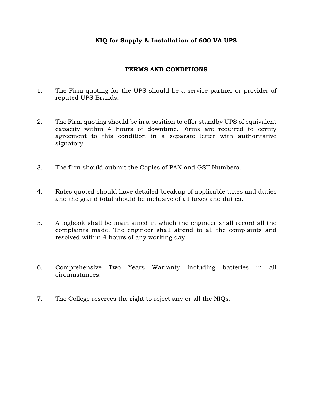#### **NIQ for Supply & Installation of 600 VA UPS**

#### **TERMS AND CONDITIONS**

- 1. The Firm quoting for the UPS should be a service partner or provider of reputed UPS Brands.
- 2. The Firm quoting should be in a position to offer standby UPS of equivalent capacity within 4 hours of downtime. Firms are required to certify agreement to this condition in a separate letter with authoritative signatory.
- 3. The firm should submit the Copies of PAN and GST Numbers.
- 4. Rates quoted should have detailed breakup of applicable taxes and duties and the grand total should be inclusive of all taxes and duties.
- 5. A logbook shall be maintained in which the engineer shall record all the complaints made. The engineer shall attend to all the complaints and resolved within 4 hours of any working day
- 6. Comprehensive Two Years Warranty including batteries in all circumstances.
- 7. The College reserves the right to reject any or all the NIQs.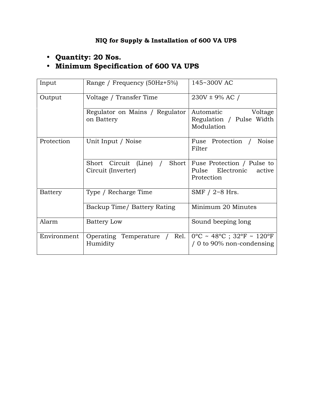### **Quantity: 20 Nos. Minimum Specification of 600 VA UPS**

| Input       | Range / Frequency (50Hz+5%)                        | 145~300V AC                                                            |  |  |  |
|-------------|----------------------------------------------------|------------------------------------------------------------------------|--|--|--|
| Output      | Voltage / Transfer Time                            | $230V \pm 9\%$ AC /                                                    |  |  |  |
|             | Regulator on Mains / Regulator<br>on Battery       | Automatic<br>Voltage<br>Regulation / Pulse Width<br>Modulation         |  |  |  |
| Protection  | Unit Input / Noise                                 | Fuse Protection /<br>Noise<br>Filter                                   |  |  |  |
|             | Short Circuit (Line) / Short<br>Circuit (Inverter) | Fuse Protection / Pulse to<br>Pulse Electronic<br>active<br>Protection |  |  |  |
| Battery     | Type / Recharge Time                               | SMF $/$ 2~8 Hrs.                                                       |  |  |  |
|             | Backup Time/ Battery Rating                        | Minimum 20 Minutes                                                     |  |  |  |
| Alarm       | <b>Battery Low</b>                                 | Sound beeping long                                                     |  |  |  |
| Environment | Operating Temperature /<br>Rel.<br>Humidity        | $0^{\circ}$ C ~ 48°C ; 32°F ~ 120°F<br>/ 0 to 90% non-condensing       |  |  |  |